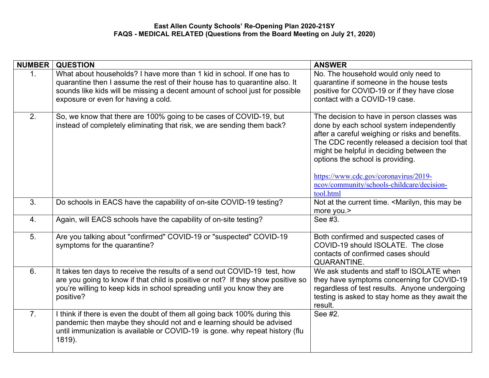| <b>NUMBER</b>    | <b>QUESTION</b>                                                                                                                                                                                                                                                              | <b>ANSWER</b>                                                                                                                                                                                                                                                                                                                                                                   |
|------------------|------------------------------------------------------------------------------------------------------------------------------------------------------------------------------------------------------------------------------------------------------------------------------|---------------------------------------------------------------------------------------------------------------------------------------------------------------------------------------------------------------------------------------------------------------------------------------------------------------------------------------------------------------------------------|
| 1.               | What about households? I have more than 1 kid in school. If one has to<br>quarantine then I assume the rest of their house has to quarantine also. It<br>sounds like kids will be missing a decent amount of school just for possible<br>exposure or even for having a cold. | No. The household would only need to<br>quarantine if someone in the house tests<br>positive for COVID-19 or if they have close<br>contact with a COVID-19 case.                                                                                                                                                                                                                |
| 2.               | So, we know that there are 100% going to be cases of COVID-19, but<br>instead of completely eliminating that risk, we are sending them back?                                                                                                                                 | The decision to have in person classes was<br>done by each school system independently<br>after a careful weighing or risks and benefits.<br>The CDC recently released a decision tool that<br>might be helpful in deciding between the<br>options the school is providing.<br>https://www.cdc.gov/coronavirus/2019-<br>ncov/community/schools-childcare/decision-<br>tool.html |
| 3.               | Do schools in EACS have the capability of on-site COVID-19 testing?                                                                                                                                                                                                          | Not at the current time. <marilyn, be<br="" may="" this="">more you.&gt;</marilyn,>                                                                                                                                                                                                                                                                                             |
| $\overline{4}$ . | Again, will EACS schools have the capability of on-site testing?                                                                                                                                                                                                             | See #3.                                                                                                                                                                                                                                                                                                                                                                         |
| 5 <sub>1</sub>   | Are you talking about "confirmed" COVID-19 or "suspected" COVID-19<br>symptoms for the quarantine?                                                                                                                                                                           | Both confirmed and suspected cases of<br>COVID-19 should ISOLATE. The close<br>contacts of confirmed cases should<br><b>QUARANTINE.</b>                                                                                                                                                                                                                                         |
| 6.               | It takes ten days to receive the results of a send out COVID-19 test, how<br>are you going to know if that child is positive or not? If they show positive so<br>you're willing to keep kids in school spreading until you know they are<br>positive?                        | We ask students and staff to ISOLATE when<br>they have symptoms concerning for COVID-19<br>regardless of test results. Anyone undergoing<br>testing is asked to stay home as they await the<br>result.                                                                                                                                                                          |
| 7.               | I think if there is even the doubt of them all going back 100% during this<br>pandemic then maybe they should not and e learning should be advised<br>until immunization is available or COVID-19 is gone. why repeat history (flu<br>1819).                                 | See #2.                                                                                                                                                                                                                                                                                                                                                                         |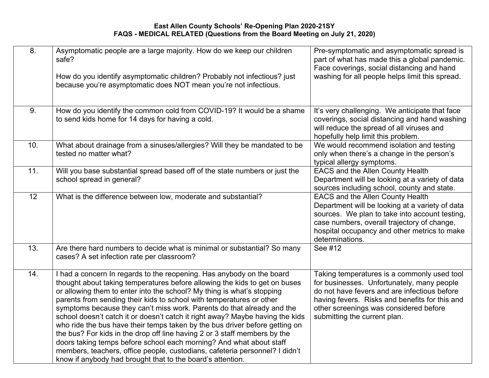| 8.  | Asymptomatic people are a large majority. How do we keep our children<br>safe?<br>How do you identify asymptomatic children? Probably not infectious? just<br>because you're asymptomatic does NOT mean you're not infectious.                                                                                                                                                                                                                                                                                                                                                                                                                                                                                                                                                                                                                   | Pre-symptomatic and asymptomatic spread is<br>part of what has made this a global pandemic.<br>Face coverings, social distancing and hand<br>washing for all people helps limit this spread.                                                                          |
|-----|--------------------------------------------------------------------------------------------------------------------------------------------------------------------------------------------------------------------------------------------------------------------------------------------------------------------------------------------------------------------------------------------------------------------------------------------------------------------------------------------------------------------------------------------------------------------------------------------------------------------------------------------------------------------------------------------------------------------------------------------------------------------------------------------------------------------------------------------------|-----------------------------------------------------------------------------------------------------------------------------------------------------------------------------------------------------------------------------------------------------------------------|
| 9.  | How do you identify the common cold from COVID-19? It would be a shame<br>to send kids home for 14 days for having a cold.                                                                                                                                                                                                                                                                                                                                                                                                                                                                                                                                                                                                                                                                                                                       | It's very challenging. We anticipate that face<br>coverings, social distancing and hand washing<br>will reduce the spread of all viruses and<br>hopefully help limit this problem.                                                                                    |
| 10. | What about drainage from a sinuses/allergies? Will they be mandated to be<br>tested no matter what?                                                                                                                                                                                                                                                                                                                                                                                                                                                                                                                                                                                                                                                                                                                                              | We would recommend isolation and testing<br>only when there's a change in the person's<br>typical allergy symptoms.                                                                                                                                                   |
| 11. | Will you base substantial spread based off of the state numbers or just the<br>school spread in general?                                                                                                                                                                                                                                                                                                                                                                                                                                                                                                                                                                                                                                                                                                                                         | <b>EACS and the Allen County Health</b><br>Department will be looking at a variety of data<br>sources including school, county and state.                                                                                                                             |
| 12  | What is the difference between low, moderate and substantial?                                                                                                                                                                                                                                                                                                                                                                                                                                                                                                                                                                                                                                                                                                                                                                                    | <b>EACS and the Allen County Health</b><br>Department will be looking at a variety of data<br>sources. We plan to take into account testing,<br>case numbers, overall trajectory of change,<br>hospital occupancy and other metrics to make<br>determinations.        |
| 13. | Are there hard numbers to decide what is minimal or substantial? So many<br>cases? A set infection rate per classroom?                                                                                                                                                                                                                                                                                                                                                                                                                                                                                                                                                                                                                                                                                                                           | See #12                                                                                                                                                                                                                                                               |
| 14. | I had a concern In regards to the reopening. Has anybody on the board<br>thought about taking temperatures before allowing the kids to get on buses<br>or allowing them to enter into the school? My thing is what's stopping<br>parents from sending their kids to school with temperatures or other<br>symptoms because they can't miss work. Parents do that already and the<br>school doesn't catch it or doesn't catch it right away? Maybe having the kids<br>who ride the bus have their temps taken by the bus driver before getting on<br>the bus? For kids in the drop off line having 2 or 3 staff members by the<br>doors taking temps before school each morning? And what about staff<br>members, teachers, office people, custodians, cafeteria personnel? I didn't<br>know if anybody had brought that to the board's attention. | Taking temperatures is a commonly used tool<br>for businesses. Unfortunately, many people<br>do not have fevers and are infectious before<br>having fevers. Risks and benefits for this and<br>other screenings was considered before<br>submitting the current plan. |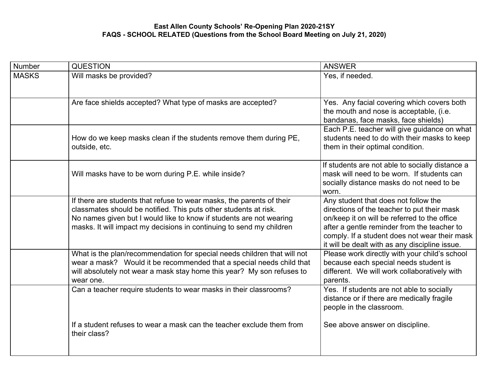| Number       | <b>QUESTION</b>                                                                                                                                                                                                                                                                          | <b>ANSWER</b>                                                                                                                                                                                                                                                                         |
|--------------|------------------------------------------------------------------------------------------------------------------------------------------------------------------------------------------------------------------------------------------------------------------------------------------|---------------------------------------------------------------------------------------------------------------------------------------------------------------------------------------------------------------------------------------------------------------------------------------|
| <b>MASKS</b> | Will masks be provided?                                                                                                                                                                                                                                                                  | Yes, if needed.                                                                                                                                                                                                                                                                       |
|              | Are face shields accepted? What type of masks are accepted?                                                                                                                                                                                                                              | Yes. Any facial covering which covers both<br>the mouth and nose is acceptable, (i.e.<br>bandanas, face masks, face shields)                                                                                                                                                          |
|              | How do we keep masks clean if the students remove them during PE,<br>outside, etc.                                                                                                                                                                                                       | Each P.E. teacher will give guidance on what<br>students need to do with their masks to keep<br>them in their optimal condition.                                                                                                                                                      |
|              | Will masks have to be worn during P.E. while inside?                                                                                                                                                                                                                                     | If students are not able to socially distance a<br>mask will need to be worn. If students can<br>socially distance masks do not need to be<br>worn.                                                                                                                                   |
|              | If there are students that refuse to wear masks, the parents of their<br>classmates should be notified. This puts other students at risk.<br>No names given but I would like to know if students are not wearing<br>masks. It will impact my decisions in continuing to send my children | Any student that does not follow the<br>directions of the teacher to put their mask<br>on/keep it on will be referred to the office<br>after a gentle reminder from the teacher to<br>comply. If a student does not wear their mask<br>it will be dealt with as any discipline issue. |
|              | What is the plan/recommendation for special needs children that will not<br>wear a mask? Would it be recommended that a special needs child that<br>will absolutely not wear a mask stay home this year? My son refuses to<br>wear one.                                                  | Please work directly with your child's school<br>because each special needs student is<br>different. We will work collaboratively with<br>parents.                                                                                                                                    |
|              | Can a teacher require students to wear masks in their classrooms?                                                                                                                                                                                                                        | Yes. If students are not able to socially<br>distance or if there are medically fragile<br>people in the classroom.                                                                                                                                                                   |
|              | If a student refuses to wear a mask can the teacher exclude them from<br>their class?                                                                                                                                                                                                    | See above answer on discipline.                                                                                                                                                                                                                                                       |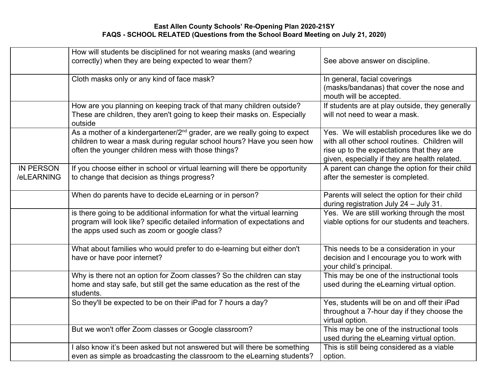|                                | How will students be disciplined for not wearing masks (and wearing                                                                                                                                                   |                                                                                                                                                                                             |
|--------------------------------|-----------------------------------------------------------------------------------------------------------------------------------------------------------------------------------------------------------------------|---------------------------------------------------------------------------------------------------------------------------------------------------------------------------------------------|
|                                | correctly) when they are being expected to wear them?                                                                                                                                                                 | See above answer on discipline.                                                                                                                                                             |
|                                | Cloth masks only or any kind of face mask?                                                                                                                                                                            | In general, facial coverings<br>(masks/bandanas) that cover the nose and<br>mouth will be accepted.                                                                                         |
|                                | How are you planning on keeping track of that many children outside?<br>These are children, they aren't going to keep their masks on. Especially<br>outside                                                           | If students are at play outside, they generally<br>will not need to wear a mask.                                                                                                            |
|                                | As a mother of a kindergartener/2 <sup>nd</sup> grader, are we really going to expect<br>children to wear a mask during regular school hours? Have you seen how<br>often the younger children mess with those things? | Yes. We will establish procedures like we do<br>with all other school routines. Children will<br>rise up to the expectations that they are<br>given, especially if they are health related. |
| <b>IN PERSON</b><br>/eLEARNING | If you choose either in school or virtual learning will there be opportunity<br>to change that decision as things progress?                                                                                           | A parent can change the option for their child<br>after the semester is completed.                                                                                                          |
|                                | When do parents have to decide eLearning or in person?                                                                                                                                                                | Parents will select the option for their child<br>during registration July 24 - July 31.                                                                                                    |
|                                | is there going to be additional information for what the virtual learning<br>program will look like? specific detailed information of expectations and<br>the apps used such as zoom or google class?                 | Yes. We are still working through the most<br>viable options for our students and teachers.                                                                                                 |
|                                | What about families who would prefer to do e-learning but either don't<br>have or have poor internet?                                                                                                                 | This needs to be a consideration in your<br>decision and I encourage you to work with<br>your child's principal.                                                                            |
|                                | Why is there not an option for Zoom classes? So the children can stay<br>home and stay safe, but still get the same education as the rest of the<br>students.                                                         | This may be one of the instructional tools<br>used during the eLearning virtual option.                                                                                                     |
|                                | So they'll be expected to be on their iPad for 7 hours a day?                                                                                                                                                         | Yes, students will be on and off their iPad<br>throughout a 7-hour day if they choose the<br>virtual option.                                                                                |
|                                | But we won't offer Zoom classes or Google classroom?                                                                                                                                                                  | This may be one of the instructional tools<br>used during the eLearning virtual option.                                                                                                     |
|                                | I also know it's been asked but not answered but will there be something<br>even as simple as broadcasting the classroom to the eLearning students?                                                                   | This is still being considered as a viable<br>option.                                                                                                                                       |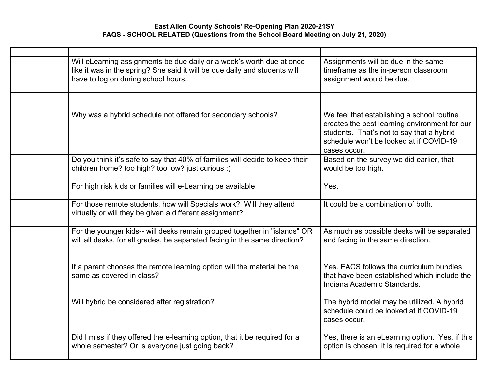| Will eLearning assignments be due daily or a week's worth due at once<br>like it was in the spring? She said it will be due daily and students will<br>have to log on during school hours. | Assignments will be due in the same<br>timeframe as the in-person classroom<br>assignment would be due.                                                                                             |
|--------------------------------------------------------------------------------------------------------------------------------------------------------------------------------------------|-----------------------------------------------------------------------------------------------------------------------------------------------------------------------------------------------------|
|                                                                                                                                                                                            |                                                                                                                                                                                                     |
| Why was a hybrid schedule not offered for secondary schools?                                                                                                                               | We feel that establishing a school routine<br>creates the best learning environment for our<br>students. That's not to say that a hybrid<br>schedule won't be looked at if COVID-19<br>cases occur. |
| Do you think it's safe to say that 40% of families will decide to keep their<br>children home? too high? too low? just curious :)                                                          | Based on the survey we did earlier, that<br>would be too high.                                                                                                                                      |
| For high risk kids or families will e-Learning be available                                                                                                                                | Yes.                                                                                                                                                                                                |
| For those remote students, how will Specials work? Will they attend<br>virtually or will they be given a different assignment?                                                             | It could be a combination of both.                                                                                                                                                                  |
| For the younger kids-- will desks remain grouped together in "islands" OR<br>will all desks, for all grades, be separated facing in the same direction?                                    | As much as possible desks will be separated<br>and facing in the same direction.                                                                                                                    |
| If a parent chooses the remote learning option will the material be the<br>same as covered in class?                                                                                       | Yes. EACS follows the curriculum bundles<br>that have been established which include the<br>Indiana Academic Standards.                                                                             |
| Will hybrid be considered after registration?                                                                                                                                              | The hybrid model may be utilized. A hybrid<br>schedule could be looked at if COVID-19<br>cases occur.                                                                                               |
| Did I miss if they offered the e-learning option, that it be required for a<br>whole semester? Or is everyone just going back?                                                             | Yes, there is an eLearning option. Yes, if this<br>option is chosen, it is required for a whole                                                                                                     |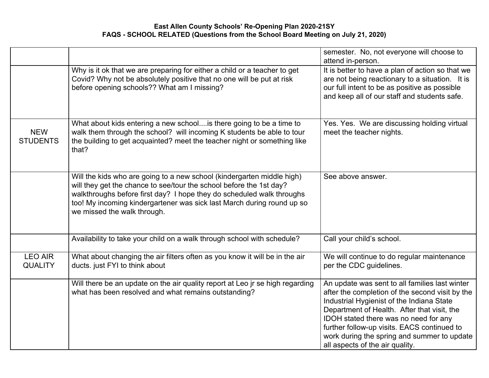|                                  |                                                                                                                                                                                                                                                                                                                                 | semester. No, not everyone will choose to<br>attend in-person.                                                                                                                                                                                                                                                                                                          |
|----------------------------------|---------------------------------------------------------------------------------------------------------------------------------------------------------------------------------------------------------------------------------------------------------------------------------------------------------------------------------|-------------------------------------------------------------------------------------------------------------------------------------------------------------------------------------------------------------------------------------------------------------------------------------------------------------------------------------------------------------------------|
|                                  | Why is it ok that we are preparing for either a child or a teacher to get<br>Covid? Why not be absolutely positive that no one will be put at risk<br>before opening schools?? What am I missing?                                                                                                                               | It is better to have a plan of action so that we<br>are not being reactionary to a situation. It is<br>our full intent to be as positive as possible<br>and keep all of our staff and students safe.                                                                                                                                                                    |
| <b>NEW</b><br><b>STUDENTS</b>    | What about kids entering a new school is there going to be a time to<br>walk them through the school? will incoming K students be able to tour<br>the building to get acquainted? meet the teacher night or something like<br>that?                                                                                             | Yes. Yes. We are discussing holding virtual<br>meet the teacher nights.                                                                                                                                                                                                                                                                                                 |
|                                  | Will the kids who are going to a new school (kindergarten middle high)<br>will they get the chance to see/tour the school before the 1st day?<br>walkthroughs before first day? I hope they do scheduled walk throughs<br>too! My incoming kindergartener was sick last March during round up so<br>we missed the walk through. | See above answer.                                                                                                                                                                                                                                                                                                                                                       |
|                                  | Availability to take your child on a walk through school with schedule?                                                                                                                                                                                                                                                         | Call your child's school.                                                                                                                                                                                                                                                                                                                                               |
| <b>LEO AIR</b><br><b>QUALITY</b> | What about changing the air filters often as you know it will be in the air<br>ducts. just FYI to think about                                                                                                                                                                                                                   | We will continue to do regular maintenance<br>per the CDC guidelines.                                                                                                                                                                                                                                                                                                   |
|                                  | Will there be an update on the air quality report at Leo jr se high regarding<br>what has been resolved and what remains outstanding?                                                                                                                                                                                           | An update was sent to all families last winter<br>after the completion of the second visit by the<br>Industrial Hygienist of the Indiana State<br>Department of Health. After that visit, the<br>IDOH stated there was no need for any<br>further follow-up visits. EACS continued to<br>work during the spring and summer to update<br>all aspects of the air quality. |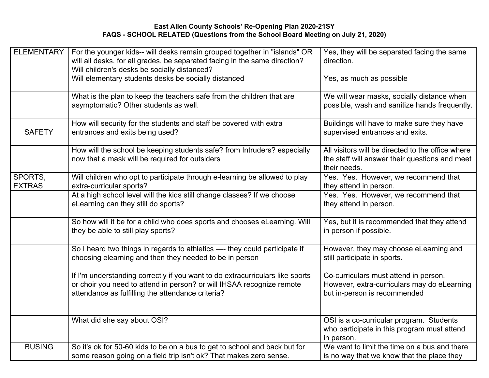| <b>ELEMENTARY</b>        | For the younger kids-- will desks remain grouped together in "islands" OR<br>will all desks, for all grades, be separated facing in the same direction?<br>Will children's desks be socially distanced?<br>Will elementary students desks be socially distanced | Yes, they will be separated facing the same<br>direction.<br>Yes, as much as possible                                |
|--------------------------|-----------------------------------------------------------------------------------------------------------------------------------------------------------------------------------------------------------------------------------------------------------------|----------------------------------------------------------------------------------------------------------------------|
|                          | What is the plan to keep the teachers safe from the children that are<br>asymptomatic? Other students as well.                                                                                                                                                  | We will wear masks, socially distance when<br>possible, wash and sanitize hands frequently.                          |
| <b>SAFETY</b>            | How will security for the students and staff be covered with extra<br>entrances and exits being used?                                                                                                                                                           | Buildings will have to make sure they have<br>supervised entrances and exits.                                        |
|                          | How will the school be keeping students safe? from Intruders? especially<br>now that a mask will be required for outsiders                                                                                                                                      | All visitors will be directed to the office where<br>the staff will answer their questions and meet<br>their needs.  |
| SPORTS,<br><b>EXTRAS</b> | Will children who opt to participate through e-learning be allowed to play<br>extra-curricular sports?                                                                                                                                                          | Yes. Yes. However, we recommend that<br>they attend in person.                                                       |
|                          | At a high school level will the kids still change classes? If we choose<br>eLearning can they still do sports?                                                                                                                                                  | Yes. Yes. However, we recommend that<br>they attend in person.                                                       |
|                          | So how will it be for a child who does sports and chooses eLearning. Will<br>they be able to still play sports?                                                                                                                                                 | Yes, but it is recommended that they attend<br>in person if possible.                                                |
|                          | So I heard two things in regards to athletics - they could participate if<br>choosing elearning and then they needed to be in person                                                                                                                            | However, they may choose eLearning and<br>still participate in sports.                                               |
|                          | If I'm understanding correctly if you want to do extracurriculars like sports<br>or choir you need to attend in person? or will IHSAA recognize remote<br>attendance as fulfilling the attendance criteria?                                                     | Co-curriculars must attend in person.<br>However, extra-curriculars may do eLearning<br>but in-person is recommended |
|                          | What did she say about OSI?                                                                                                                                                                                                                                     | OSI is a co-curricular program. Students<br>who participate in this program must attend<br>in person.                |
| <b>BUSING</b>            | So it's ok for 50-60 kids to be on a bus to get to school and back but for<br>some reason going on a field trip isn't ok? That makes zero sense.                                                                                                                | We want to limit the time on a bus and there<br>is no way that we know that the place they                           |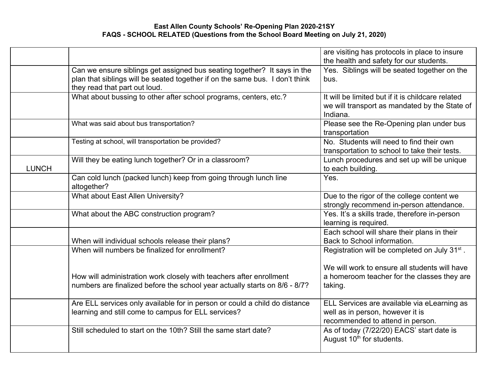|              |                                                                              | are visiting has protocols in place to insure             |
|--------------|------------------------------------------------------------------------------|-----------------------------------------------------------|
|              |                                                                              | the health and safety for our students.                   |
|              | Can we ensure siblings get assigned bus seating together? It says in the     | Yes. Siblings will be seated together on the              |
|              | plan that siblings will be seated together if on the same bus. I don't think | bus.                                                      |
|              | they read that part out loud.                                                |                                                           |
|              | What about bussing to other after school programs, centers, etc.?            | It will be limited but if it is childcare related         |
|              |                                                                              | we will transport as mandated by the State of             |
|              |                                                                              | Indiana.                                                  |
|              | What was said about bus transportation?                                      | Please see the Re-Opening plan under bus                  |
|              |                                                                              | transportation                                            |
|              | Testing at school, will transportation be provided?                          | No. Students will need to find their own                  |
|              |                                                                              | transportation to school to take their tests.             |
|              | Will they be eating lunch together? Or in a classroom?                       | Lunch procedures and set up will be unique                |
| <b>LUNCH</b> |                                                                              | to each building.                                         |
|              | Can cold lunch (packed lunch) keep from going through lunch line             | Yes.                                                      |
|              | altogether?                                                                  |                                                           |
|              | What about East Allen University?                                            | Due to the rigor of the college content we                |
|              |                                                                              | strongly recommend in-person attendance.                  |
|              | What about the ABC construction program?                                     | Yes. It's a skills trade, therefore in-person             |
|              |                                                                              | learning is required.                                     |
|              |                                                                              | Each school will share their plans in their               |
|              | When will individual schools release their plans?                            | Back to School information.                               |
|              | When will numbers be finalized for enrollment?                               | Registration will be completed on July 31 <sup>st</sup> . |
|              |                                                                              |                                                           |
|              |                                                                              | We will work to ensure all students will have             |
|              | How will administration work closely with teachers after enrollment          | a homeroom teacher for the classes they are               |
|              | numbers are finalized before the school year actually starts on 8/6 - 8/7?   | taking.                                                   |
|              | Are ELL services only available for in person or could a child do distance   | ELL Services are available via eLearning as               |
|              | learning and still come to campus for ELL services?                          | well as in person, however it is                          |
|              |                                                                              | recommended to attend in person.                          |
|              | Still scheduled to start on the 10th? Still the same start date?             | As of today (7/22/20) EACS' start date is                 |
|              |                                                                              | August 10 <sup>th</sup> for students.                     |
|              |                                                                              |                                                           |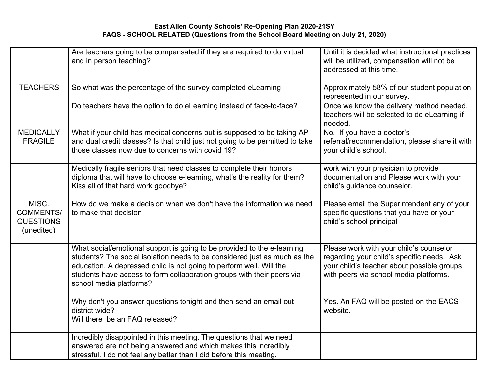|                                                             | Are teachers going to be compensated if they are required to do virtual<br>and in person teaching?                                                                                                                                                                                                                               | Until it is decided what instructional practices<br>will be utilized, compensation will not be<br>addressed at this time.                                                     |
|-------------------------------------------------------------|----------------------------------------------------------------------------------------------------------------------------------------------------------------------------------------------------------------------------------------------------------------------------------------------------------------------------------|-------------------------------------------------------------------------------------------------------------------------------------------------------------------------------|
| <b>TEACHERS</b>                                             | So what was the percentage of the survey completed eLearning                                                                                                                                                                                                                                                                     | Approximately 58% of our student population<br>represented in our survey.                                                                                                     |
|                                                             | Do teachers have the option to do eLearning instead of face-to-face?                                                                                                                                                                                                                                                             | Once we know the delivery method needed,<br>teachers will be selected to do eLearning if<br>needed.                                                                           |
| <b>MEDICALLY</b><br><b>FRAGILE</b>                          | What if your child has medical concerns but is supposed to be taking AP<br>and dual credit classes? Is that child just not going to be permitted to take<br>those classes now due to concerns with covid 19?                                                                                                                     | No. If you have a doctor's<br>referral/recommendation, please share it with<br>your child's school.                                                                           |
|                                                             | Medically fragile seniors that need classes to complete their honors<br>diploma that will have to choose e-learning, what's the reality for them?<br>Kiss all of that hard work goodbye?                                                                                                                                         | work with your physician to provide<br>documentation and Please work with your<br>child's guidance counselor.                                                                 |
| MISC.<br><b>COMMENTS/</b><br><b>QUESTIONS</b><br>(unedited) | How do we make a decision when we don't have the information we need<br>to make that decision                                                                                                                                                                                                                                    | Please email the Superintendent any of your<br>specific questions that you have or your<br>child's school principal                                                           |
|                                                             | What social/emotional support is going to be provided to the e-learning<br>students? The social isolation needs to be considered just as much as the<br>education. A depressed child is not going to perform well. Will the<br>students have access to form collaboration groups with their peers via<br>school media platforms? | Please work with your child's counselor<br>regarding your child's specific needs. Ask<br>your child's teacher about possible groups<br>with peers via school media platforms. |
|                                                             | Why don't you answer questions tonight and then send an email out<br>district wide?<br>Will there be an FAQ released?                                                                                                                                                                                                            | Yes. An FAQ will be posted on the EACS<br>website.                                                                                                                            |
|                                                             | Incredibly disappointed in this meeting. The questions that we need<br>answered are not being answered and which makes this incredibly<br>stressful. I do not feel any better than I did before this meeting.                                                                                                                    |                                                                                                                                                                               |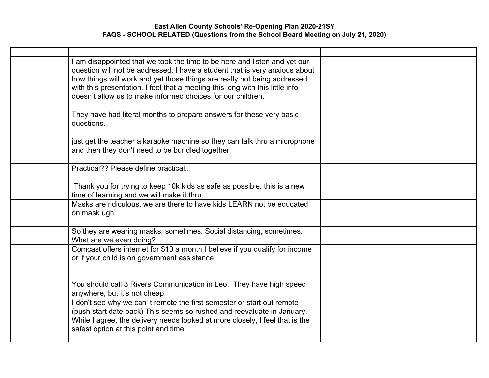| I am disappointed that we took the time to be here and listen and yet our<br>question will not be addressed. I have a student that is very anxious about<br>how things will work and yet those things are really not being addressed<br>with this presentation. I feel that a meeting this long with this little info<br>doesn't allow us to make informed choices for our children. |  |
|--------------------------------------------------------------------------------------------------------------------------------------------------------------------------------------------------------------------------------------------------------------------------------------------------------------------------------------------------------------------------------------|--|
| They have had literal months to prepare answers for these very basic<br>questions.                                                                                                                                                                                                                                                                                                   |  |
| just get the teacher a karaoke machine so they can talk thru a microphone<br>and then they don't need to be bundled together                                                                                                                                                                                                                                                         |  |
| Practical?? Please define practical                                                                                                                                                                                                                                                                                                                                                  |  |
| Thank you for trying to keep 10k kids as safe as possible. this is a new<br>time of learning and we will make it thru                                                                                                                                                                                                                                                                |  |
| Masks are ridiculous, we are there to have kids LEARN not be educated<br>on mask ugh                                                                                                                                                                                                                                                                                                 |  |
| So they are wearing masks, sometimes. Social distancing, sometimes.<br>What are we even doing?                                                                                                                                                                                                                                                                                       |  |
| Comcast offers internet for \$10 a month I believe if you qualify for income<br>or if your child is on government assistance                                                                                                                                                                                                                                                         |  |
| You should call 3 Rivers Communication in Leo. They have high speed<br>anywhere, but it's not cheap.                                                                                                                                                                                                                                                                                 |  |
| I don't see why we can't remote the first semester or start out remote<br>(push start date back) This seems so rushed and reevaluate in January.<br>While I agree, the delivery needs looked at more closely, I feel that is the<br>safest option at this point and time.                                                                                                            |  |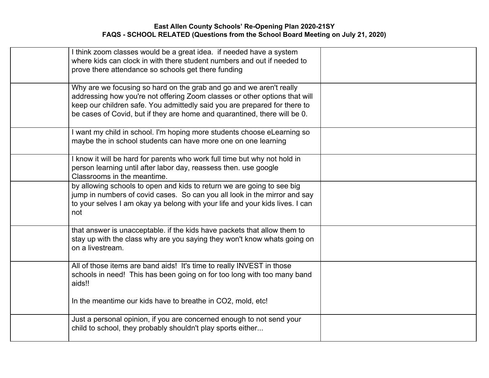|        | I think zoom classes would be a great idea. if needed have a system<br>where kids can clock in with there student numbers and out if needed to<br>prove there attendance so schools get there funding                                                                                                       |  |
|--------|-------------------------------------------------------------------------------------------------------------------------------------------------------------------------------------------------------------------------------------------------------------------------------------------------------------|--|
|        | Why are we focusing so hard on the grab and go and we aren't really<br>addressing how you're not offering Zoom classes or other options that will<br>keep our children safe. You admittedly said you are prepared for there to<br>be cases of Covid, but if they are home and quarantined, there will be 0. |  |
|        | I want my child in school. I'm hoping more students choose eLearning so<br>maybe the in school students can have more one on one learning                                                                                                                                                                   |  |
|        | I know it will be hard for parents who work full time but why not hold in<br>person learning until after labor day, reassess then. use google<br>Classrooms in the meantime.                                                                                                                                |  |
| not    | by allowing schools to open and kids to return we are going to see big<br>jump in numbers of covid cases. So can you all look in the mirror and say<br>to your selves I am okay ya belong with your life and your kids lives. I can                                                                         |  |
|        | that answer is unacceptable. if the kids have packets that allow them to<br>stay up with the class why are you saying they won't know whats going on<br>on a livestream.                                                                                                                                    |  |
| aids!! | All of those items are band aids! It's time to really INVEST in those<br>schools in need! This has been going on for too long with too many band                                                                                                                                                            |  |
|        | In the meantime our kids have to breathe in CO2, mold, etc!                                                                                                                                                                                                                                                 |  |
|        | Just a personal opinion, if you are concerned enough to not send your<br>child to school, they probably shouldn't play sports either                                                                                                                                                                        |  |